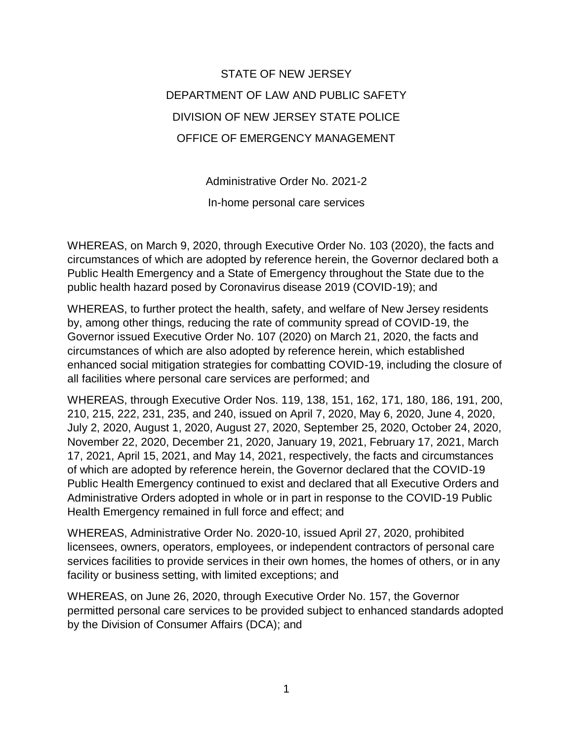STATE OF NEW JERSEY DEPARTMENT OF LAW AND PUBLIC SAFETY DIVISION OF NEW JERSEY STATE POLICE OFFICE OF EMERGENCY MANAGEMENT

Administrative Order No. 2021-2

In-home personal care services

WHEREAS, on March 9, 2020, through Executive Order No. 103 (2020), the facts and circumstances of which are adopted by reference herein, the Governor declared both a Public Health Emergency and a State of Emergency throughout the State due to the public health hazard posed by Coronavirus disease 2019 (COVID-19); and

WHEREAS, to further protect the health, safety, and welfare of New Jersey residents by, among other things, reducing the rate of community spread of COVID-19, the Governor issued Executive Order No. 107 (2020) on March 21, 2020, the facts and circumstances of which are also adopted by reference herein, which established enhanced social mitigation strategies for combatting COVID-19, including the closure of all facilities where personal care services are performed; and

WHEREAS, through Executive Order Nos. 119, 138, 151, 162, 171, 180, 186, 191, 200, 210, 215, 222, 231, 235, and 240, issued on April 7, 2020, May 6, 2020, June 4, 2020, July 2, 2020, August 1, 2020, August 27, 2020, September 25, 2020, October 24, 2020, November 22, 2020, December 21, 2020, January 19, 2021, February 17, 2021, March 17, 2021, April 15, 2021, and May 14, 2021, respectively, the facts and circumstances of which are adopted by reference herein, the Governor declared that the COVID-19 Public Health Emergency continued to exist and declared that all Executive Orders and Administrative Orders adopted in whole or in part in response to the COVID-19 Public Health Emergency remained in full force and effect; and

WHEREAS, Administrative Order No. 2020-10, issued April 27, 2020, prohibited licensees, owners, operators, employees, or independent contractors of personal care services facilities to provide services in their own homes, the homes of others, or in any facility or business setting, with limited exceptions; and

WHEREAS, on June 26, 2020, through Executive Order No. 157, the Governor permitted personal care services to be provided subject to enhanced standards adopted by the Division of Consumer Affairs (DCA); and